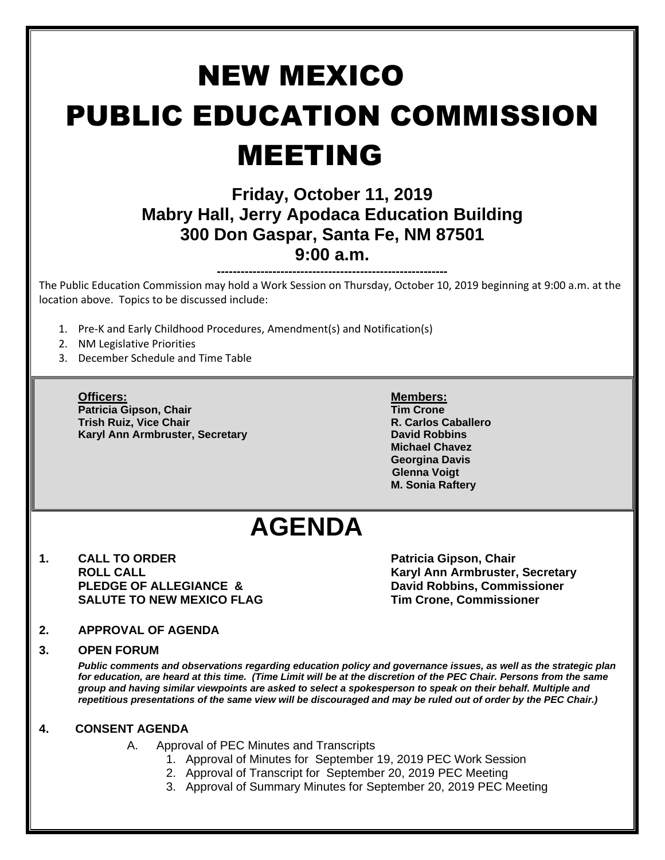# NEW MEXICO PUBLIC EDUCATION COMMISSION MEETING

### **Friday, October 11, 2019 Mabry Hall, Jerry Apodaca Education Building 300 Don Gaspar, Santa Fe, NM 87501 9:00 a.m.**

**----------------------------------------------------------** The Public Education Commission may hold a Work Session on Thursday, October 10, 2019 beginning at 9:00 a.m. at the location above. Topics to be discussed include:

- 1. Pre-K and Early Childhood Procedures, Amendment(s) and Notification(s)
- 2. NM Legislative Priorities
- 3. December Schedule and Time Table

**Officers: Members: Patricia Gipson, Chair Tim Crone Trish Ruiz, Vice Chair R. Carlos Caballero Karyl Ann Armbruster, Secretary <b>David Robbins David Robbins** 

**Michael Chavez Georgina Davis Glenna Voigt M. Sonia Raftery**

## **AGENDA**

**1. CALL TO ORDER Patricia Gipson, Chair PLEDGE OF ALLEGIANCE & COMPUTE DAVID ROBBINS, Commissioner SALUTE TO NEW MEXICO FLAG Tim Crone, Commissioner**

**ROLL CALL Karyl Ann Armbruster, Secretary**

#### **2. APPROVAL OF AGENDA**

#### **3. OPEN FORUM**

*Public comments and observations regarding education policy and governance issues, as well as the strategic plan for education, are heard at this time. (Time Limit will be at the discretion of the PEC Chair. Persons from the same group and having similar viewpoints are asked to select a spokesperson to speak on their behalf. Multiple and repetitious presentations of the same view will be discouraged and may be ruled out of order by the PEC Chair.)*

#### **4. CONSENT AGENDA**

- A. Approval of PEC Minutes and Transcripts
	- 1. Approval of Minutes for September 19, 2019 PEC Work Session
	- 2. Approval of Transcript for September 20, 2019 PEC Meeting
	- 3. Approval of Summary Minutes for September 20, 2019 PEC Meeting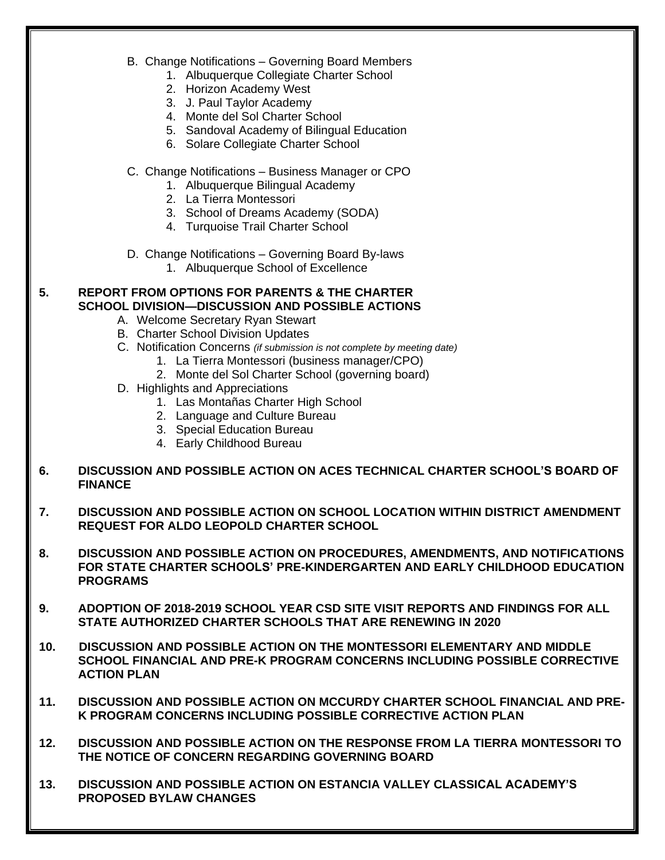- B. Change Notifications Governing Board Members
	- 1. Albuquerque Collegiate Charter School
	- 2. Horizon Academy West
	- 3. J. Paul Taylor Academy
	- 4. Monte del Sol Charter School
	- 5. Sandoval Academy of Bilingual Education
	- 6. Solare Collegiate Charter School
- C. Change Notifications Business Manager or CPO
	- 1. Albuquerque Bilingual Academy
	- 2. La Tierra Montessori
	- 3. School of Dreams Academy (SODA)
	- 4. Turquoise Trail Charter School
- D. Change Notifications Governing Board By-laws
	- 1. Albuquerque School of Excellence

#### **5. REPORT FROM OPTIONS FOR PARENTS & THE CHARTER SCHOOL DIVISION—DISCUSSION AND POSSIBLE ACTIONS**

- A. Welcome Secretary Ryan Stewart
- B. Charter School Division Updates
- C. Notification Concerns *(if submission is not complete by meeting date)*
	- 1. La Tierra Montessori (business manager/CPO)
	- 2. Monte del Sol Charter School (governing board)
- D. Highlights and Appreciations
	- 1. Las Montañas Charter High School
	- 2. Language and Culture Bureau
	- 3. Special Education Bureau
	- 4. Early Childhood Bureau

#### **6. DISCUSSION AND POSSIBLE ACTION ON ACES TECHNICAL CHARTER SCHOOL'S BOARD OF FINANCE**

- **7. DISCUSSION AND POSSIBLE ACTION ON SCHOOL LOCATION WITHIN DISTRICT AMENDMENT REQUEST FOR ALDO LEOPOLD CHARTER SCHOOL**
- **8. DISCUSSION AND POSSIBLE ACTION ON PROCEDURES, AMENDMENTS, AND NOTIFICATIONS FOR STATE CHARTER SCHOOLS' PRE-KINDERGARTEN AND EARLY CHILDHOOD EDUCATION PROGRAMS**
- **9. ADOPTION OF 2018-2019 SCHOOL YEAR CSD SITE VISIT REPORTS AND FINDINGS FOR ALL STATE AUTHORIZED CHARTER SCHOOLS THAT ARE RENEWING IN 2020**
- **10. DISCUSSION AND POSSIBLE ACTION ON THE MONTESSORI ELEMENTARY AND MIDDLE SCHOOL FINANCIAL AND PRE-K PROGRAM CONCERNS INCLUDING POSSIBLE CORRECTIVE ACTION PLAN**
- **11. DISCUSSION AND POSSIBLE ACTION ON MCCURDY CHARTER SCHOOL FINANCIAL AND PRE-K PROGRAM CONCERNS INCLUDING POSSIBLE CORRECTIVE ACTION PLAN**
- **12. DISCUSSION AND POSSIBLE ACTION ON THE RESPONSE FROM LA TIERRA MONTESSORI TO THE NOTICE OF CONCERN REGARDING GOVERNING BOARD**
- **13. DISCUSSION AND POSSIBLE ACTION ON ESTANCIA VALLEY CLASSICAL ACADEMY'S PROPOSED BYLAW CHANGES**